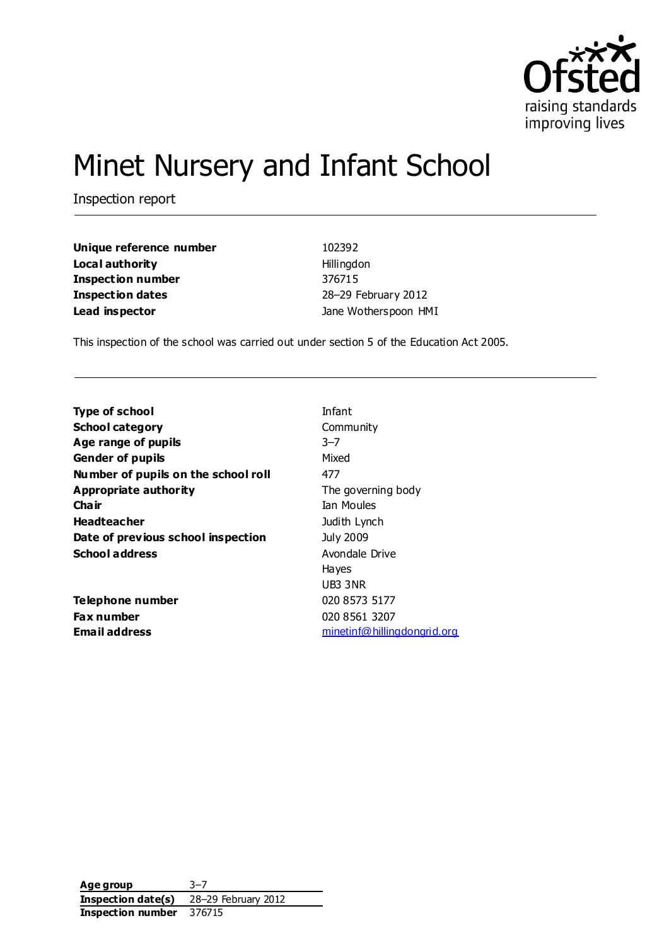

# Minet Nursery and Infant School

Inspection report

| Unique reference number | 102392               |
|-------------------------|----------------------|
| Local authority         | Hillingdon           |
| Inspection number       | 376715               |
| Inspection dates        | 28-29 February 2012  |
| Lead inspector          | Jane Wotherspoon HMI |

This inspection of the school was carried out under section 5 of the Education Act 2005.

| <b>Type of school</b>               | Infant                             |
|-------------------------------------|------------------------------------|
| <b>School category</b>              | Community                          |
| Age range of pupils                 | $3 - 7$                            |
| <b>Gender of pupils</b>             | Mixed                              |
| Number of pupils on the school roll | 477                                |
| Appropriate authority               | The governing body                 |
| Cha ir                              | Ian Moules                         |
| <b>Headteacher</b>                  | Judith Lynch                       |
| Date of previous school inspection  | <b>July 2009</b>                   |
| <b>School address</b>               | Avondale Drive                     |
|                                     | <b>Hayes</b>                       |
|                                     | UB3 3NR                            |
| Telephone number                    | 020 8573 5177                      |
| <b>Fax number</b>                   | 020 8561 3207                      |
| Email address                       | <u>minetinf@hillingdongrid.org</u> |

**Age group** 3–7 **Inspection date(s)** 28–29 February 2012 **Inspection number** 376715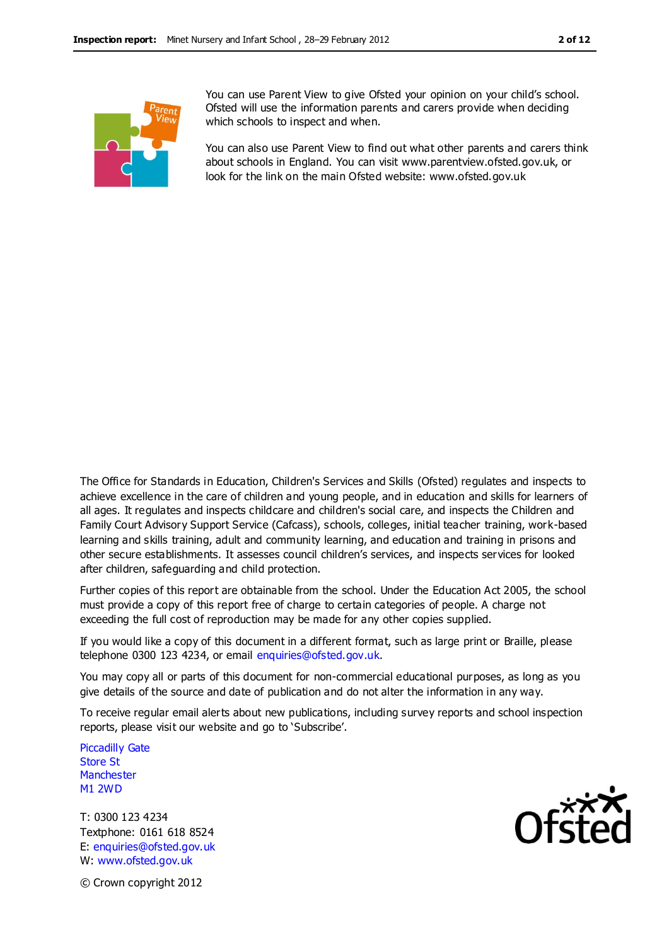

You can use Parent View to give Ofsted your opinion on your child's school. Ofsted will use the information parents and carers provide when deciding which schools to inspect and when.

You can also use Parent View to find out what other parents and carers think about schools in England. You can visit www.parentview.ofsted.gov.uk, or look for the link on the main Ofsted website: www.ofsted.gov.uk

The Office for Standards in Education, Children's Services and Skills (Ofsted) regulates and inspects to achieve excellence in the care of children and young people, and in education and skills for learners of all ages. It regulates and inspects childcare and children's social care, and inspects the Children and Family Court Advisory Support Service (Cafcass), schools, colleges, initial teacher training, work-based learning and skills training, adult and community learning, and education and training in prisons and other secure establishments. It assesses council children's services, and inspects services for looked after children, safeguarding and child protection.

Further copies of this report are obtainable from the school. Under the Education Act 2005, the school must provide a copy of this report free of charge to certain categories of people. A charge not exceeding the full cost of reproduction may be made for any other copies supplied.

If you would like a copy of this document in a different format, such as large print or Braille, please telephone 0300 123 4234, or email enquiries@ofsted.gov.uk.

You may copy all or parts of this document for non-commercial educational purposes, as long as you give details of the source and date of publication and do not alter the information in any way.

To receive regular email alerts about new publications, including survey reports and school inspection reports, please visit our website and go to 'Subscribe'.

Piccadilly Gate Store St **Manchester** M1 2WD

T: 0300 123 4234 Textphone: 0161 618 8524 E: enquiries@ofsted.gov.uk W: www.ofsted.gov.uk



© Crown copyright 2012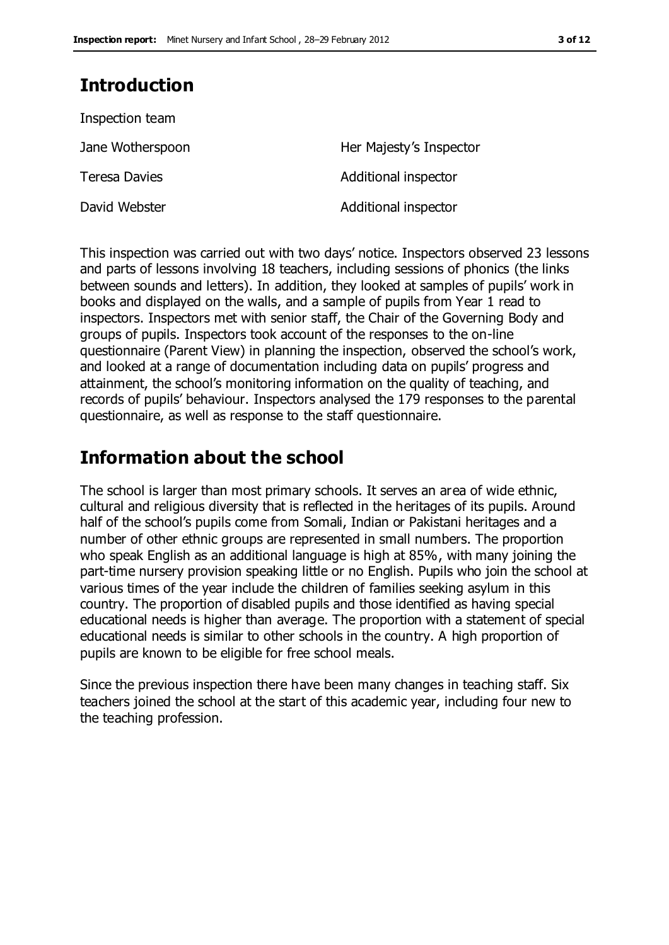# **Introduction**

| Inspection team      |                         |
|----------------------|-------------------------|
| Jane Wotherspoon     | Her Majesty's Inspector |
| <b>Teresa Davies</b> | Additional inspector    |
| David Webster        | Additional inspector    |

This inspection was carried out with two days' notice. Inspectors observed 23 lessons and parts of lessons involving 18 teachers, including sessions of phonics (the links between sounds and letters). In addition, they looked at samples of pupils' work in books and displayed on the walls, and a sample of pupils from Year 1 read to inspectors. Inspectors met with senior staff, the Chair of the Governing Body and groups of pupils. Inspectors took account of the responses to the on-line questionnaire (Parent View) in planning the inspection, observed the school's work, and looked at a range of documentation including data on pupils' progress and attainment, the school's monitoring information on the quality of teaching, and records of pupils' behaviour. Inspectors analysed the 179 responses to the parental questionnaire, as well as response to the staff questionnaire.

## **Information about the school**

The school is larger than most primary schools. It serves an area of wide ethnic, cultural and religious diversity that is reflected in the heritages of its pupils. Around half of the school's pupils come from Somali, Indian or Pakistani heritages and a number of other ethnic groups are represented in small numbers. The proportion who speak English as an additional language is high at 85%, with many joining the part-time nursery provision speaking little or no English. Pupils who join the school at various times of the year include the children of families seeking asylum in this country. The proportion of disabled pupils and those identified as having special educational needs is higher than average. The proportion with a statement of special educational needs is similar to other schools in the country. A high proportion of pupils are known to be eligible for free school meals.

Since the previous inspection there have been many changes in teaching staff. Six teachers joined the school at the start of this academic year, including four new to the teaching profession.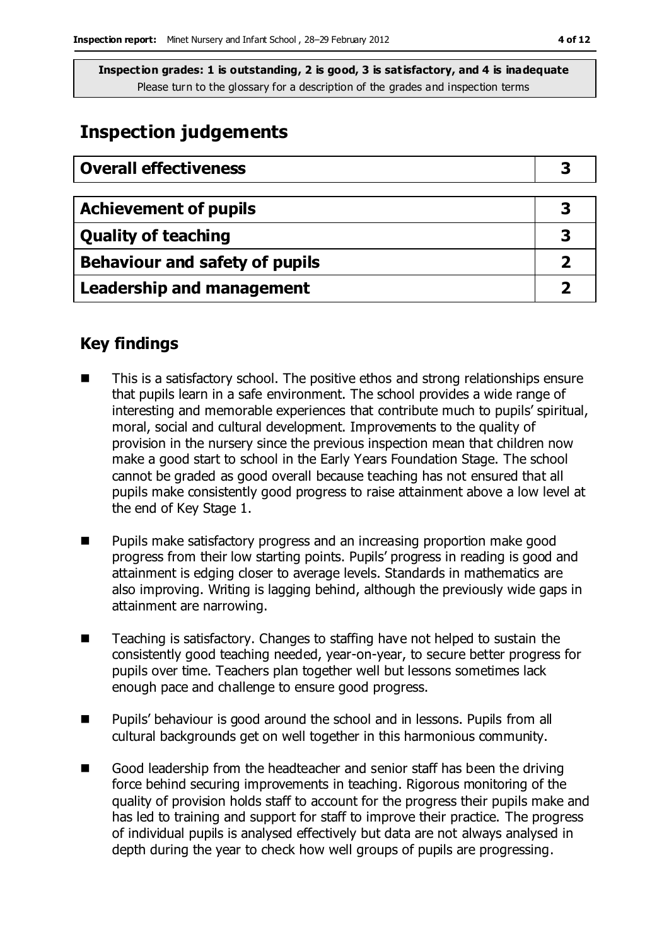# **Inspection judgements**

| <b>Overall effectiveness</b>     |   |
|----------------------------------|---|
|                                  |   |
| <b>Achievement of pupils</b>     | З |
| <b>Quality of teaching</b>       | 3 |
| Behaviour and safety of pupils   |   |
| <b>Leadership and management</b> |   |

#### **Key findings**

- This is a satisfactory school. The positive ethos and strong relationships ensure that pupils learn in a safe environment. The school provides a wide range of interesting and memorable experiences that contribute much to pupils' spiritual, moral, social and cultural development. Improvements to the quality of provision in the nursery since the previous inspection mean that children now make a good start to school in the Early Years Foundation Stage. The school cannot be graded as good overall because teaching has not ensured that all pupils make consistently good progress to raise attainment above a low level at the end of Key Stage 1.
- **Pupils make satisfactory progress and an increasing proportion make good** progress from their low starting points. Pupils' progress in reading is good and attainment is edging closer to average levels. Standards in mathematics are also improving. Writing is lagging behind, although the previously wide gaps in attainment are narrowing.
- Teaching is satisfactory. Changes to staffing have not helped to sustain the consistently good teaching needed, year-on-year, to secure better progress for pupils over time. Teachers plan together well but lessons sometimes lack enough pace and challenge to ensure good progress.
- Pupils' behaviour is good around the school and in lessons. Pupils from all cultural backgrounds get on well together in this harmonious community.
- Good leadership from the headteacher and senior staff has been the driving force behind securing improvements in teaching. Rigorous monitoring of the quality of provision holds staff to account for the progress their pupils make and has led to training and support for staff to improve their practice. The progress of individual pupils is analysed effectively but data are not always analysed in depth during the year to check how well groups of pupils are progressing.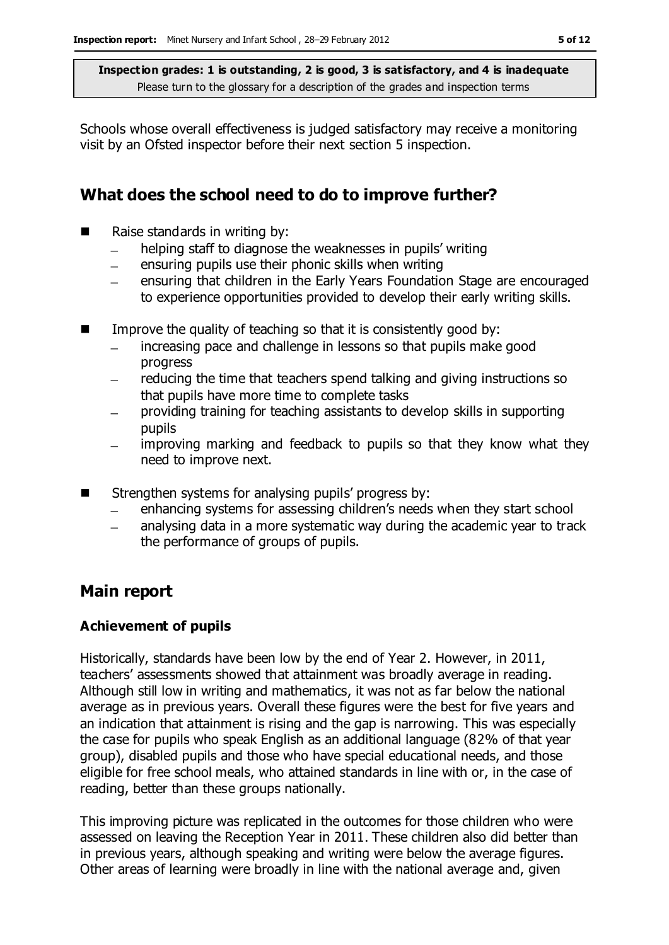Schools whose overall effectiveness is judged satisfactory may receive a monitoring visit by an Ofsted inspector before their next section 5 inspection.

#### **What does the school need to do to improve further?**

- Raise standards in writing by:
	- helping staff to diagnose the weaknesses in pupils' writing  $\equiv$
	- ensuring pupils use their phonic skills when writing  $\equiv$
	- ensuring that children in the Early Years Foundation Stage are encouraged to experience opportunities provided to develop their early writing skills.
- $\blacksquare$  Improve the quality of teaching so that it is consistently good by:
	- increasing pace and challenge in lessons so that pupils make good progress
	- reducing the time that teachers spend talking and giving instructions so  $\equiv$ that pupils have more time to complete tasks
	- providing training for teaching assistants to develop skills in supporting pupils
	- improving marking and feedback to pupils so that they know what they need to improve next.
- $\blacksquare$  Strengthen systems for analysing pupils' progress by:
	- enhancing systems for assessing children's needs when they start school
	- analysing data in a more systematic way during the academic year to track the performance of groups of pupils.

#### **Main report**

#### **Achievement of pupils**

Historically, standards have been low by the end of Year 2. However, in 2011, teachers' assessments showed that attainment was broadly average in reading. Although still low in writing and mathematics, it was not as far below the national average as in previous years. Overall these figures were the best for five years and an indication that attainment is rising and the gap is narrowing. This was especially the case for pupils who speak English as an additional language (82% of that year group), disabled pupils and those who have special educational needs, and those eligible for free school meals, who attained standards in line with or, in the case of reading, better than these groups nationally.

This improving picture was replicated in the outcomes for those children who were assessed on leaving the Reception Year in 2011. These children also did better than in previous years, although speaking and writing were below the average figures. Other areas of learning were broadly in line with the national average and, given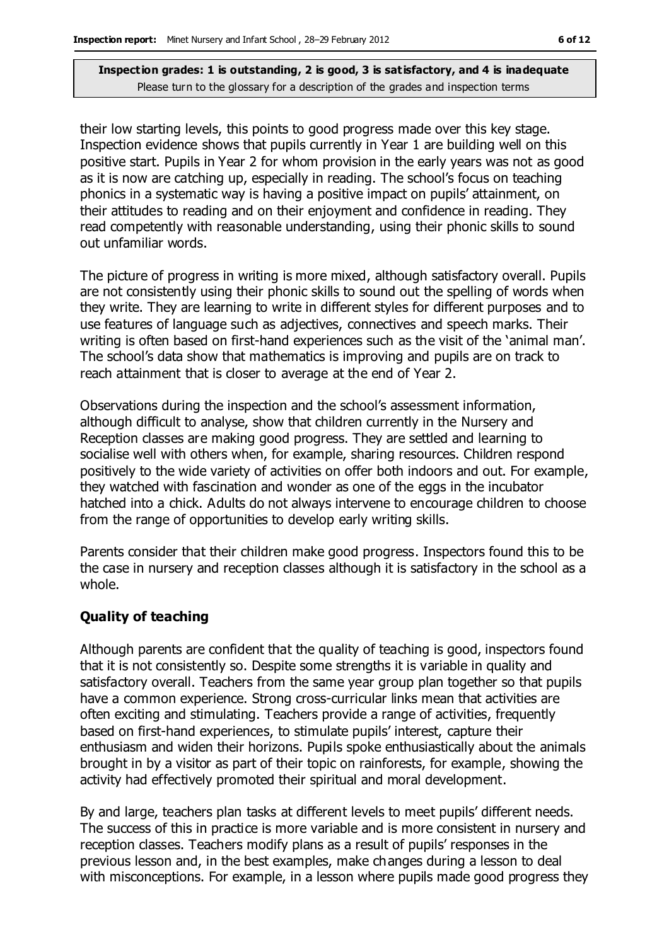their low starting levels, this points to good progress made over this key stage. Inspection evidence shows that pupils currently in Year 1 are building well on this positive start. Pupils in Year 2 for whom provision in the early years was not as good as it is now are catching up, especially in reading. The school's focus on teaching phonics in a systematic way is having a positive impact on pupils' attainment, on their attitudes to reading and on their enjoyment and confidence in reading. They read competently with reasonable understanding, using their phonic skills to sound out unfamiliar words.

The picture of progress in writing is more mixed, although satisfactory overall. Pupils are not consistently using their phonic skills to sound out the spelling of words when they write. They are learning to write in different styles for different purposes and to use features of language such as adjectives, connectives and speech marks. Their writing is often based on first-hand experiences such as the visit of the 'animal man'. The school's data show that mathematics is improving and pupils are on track to reach attainment that is closer to average at the end of Year 2.

Observations during the inspection and the school's assessment information, although difficult to analyse, show that children currently in the Nursery and Reception classes are making good progress. They are settled and learning to socialise well with others when, for example, sharing resources. Children respond positively to the wide variety of activities on offer both indoors and out. For example, they watched with fascination and wonder as one of the eggs in the incubator hatched into a chick. Adults do not always intervene to encourage children to choose from the range of opportunities to develop early writing skills.

Parents consider that their children make good progress. Inspectors found this to be the case in nursery and reception classes although it is satisfactory in the school as a whole.

#### **Quality of teaching**

Although parents are confident that the quality of teaching is good, inspectors found that it is not consistently so. Despite some strengths it is variable in quality and satisfactory overall. Teachers from the same year group plan together so that pupils have a common experience. Strong cross-curricular links mean that activities are often exciting and stimulating. Teachers provide a range of activities, frequently based on first-hand experiences, to stimulate pupils' interest, capture their enthusiasm and widen their horizons. Pupils spoke enthusiastically about the animals brought in by a visitor as part of their topic on rainforests, for example, showing the activity had effectively promoted their spiritual and moral development.

By and large, teachers plan tasks at different levels to meet pupils' different needs. The success of this in practice is more variable and is more consistent in nursery and reception classes. Teachers modify plans as a result of pupils' responses in the previous lesson and, in the best examples, make changes during a lesson to deal with misconceptions. For example, in a lesson where pupils made good progress they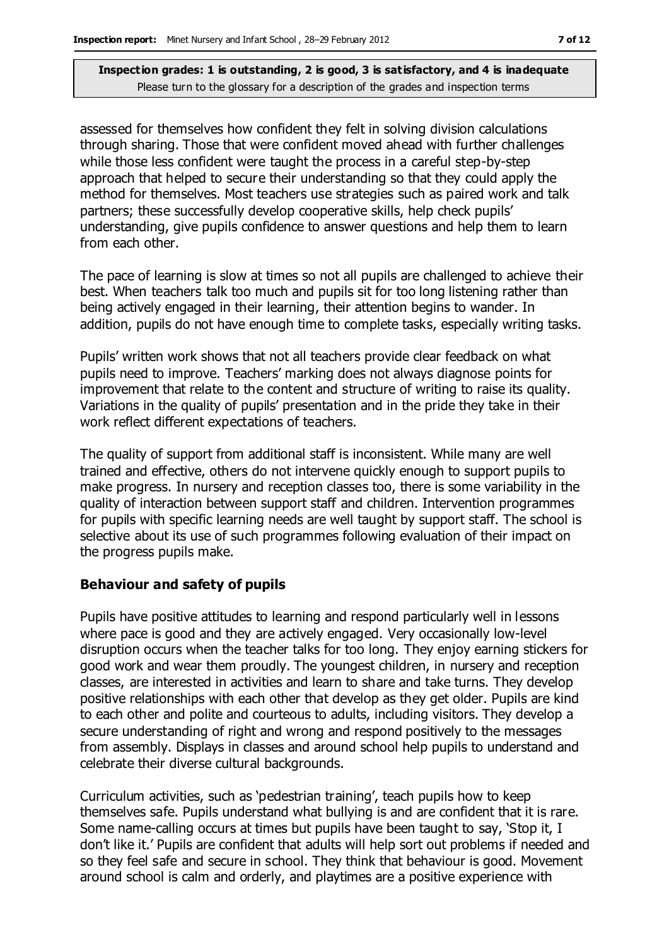assessed for themselves how confident they felt in solving division calculations through sharing. Those that were confident moved ahead with further challenges while those less confident were taught the process in a careful step-by-step approach that helped to secure their understanding so that they could apply the method for themselves. Most teachers use strategies such as paired work and talk partners; these successfully develop cooperative skills, help check pupils' understanding, give pupils confidence to answer questions and help them to learn from each other.

The pace of learning is slow at times so not all pupils are challenged to achieve their best. When teachers talk too much and pupils sit for too long listening rather than being actively engaged in their learning, their attention begins to wander. In addition, pupils do not have enough time to complete tasks, especially writing tasks.

Pupils' written work shows that not all teachers provide clear feedback on what pupils need to improve. Teachers' marking does not always diagnose points for improvement that relate to the content and structure of writing to raise its quality. Variations in the quality of pupils' presentation and in the pride they take in their work reflect different expectations of teachers.

The quality of support from additional staff is inconsistent. While many are well trained and effective, others do not intervene quickly enough to support pupils to make progress. In nursery and reception classes too, there is some variability in the quality of interaction between support staff and children. Intervention programmes for pupils with specific learning needs are well taught by support staff. The school is selective about its use of such programmes following evaluation of their impact on the progress pupils make.

#### **Behaviour and safety of pupils**

Pupils have positive attitudes to learning and respond particularly well in lessons where pace is good and they are actively engaged. Very occasionally low-level disruption occurs when the teacher talks for too long. They enjoy earning stickers for good work and wear them proudly. The youngest children, in nursery and reception classes, are interested in activities and learn to share and take turns. They develop positive relationships with each other that develop as they get older. Pupils are kind to each other and polite and courteous to adults, including visitors. They develop a secure understanding of right and wrong and respond positively to the messages from assembly. Displays in classes and around school help pupils to understand and celebrate their diverse cultural backgrounds.

Curriculum activities, such as 'pedestrian training', teach pupils how to keep themselves safe. Pupils understand what bullying is and are confident that it is rare. Some name-calling occurs at times but pupils have been taught to say, 'Stop it, I don't like it.' Pupils are confident that adults will help sort out problems if needed and so they feel safe and secure in school. They think that behaviour is good. Movement around school is calm and orderly, and playtimes are a positive experience with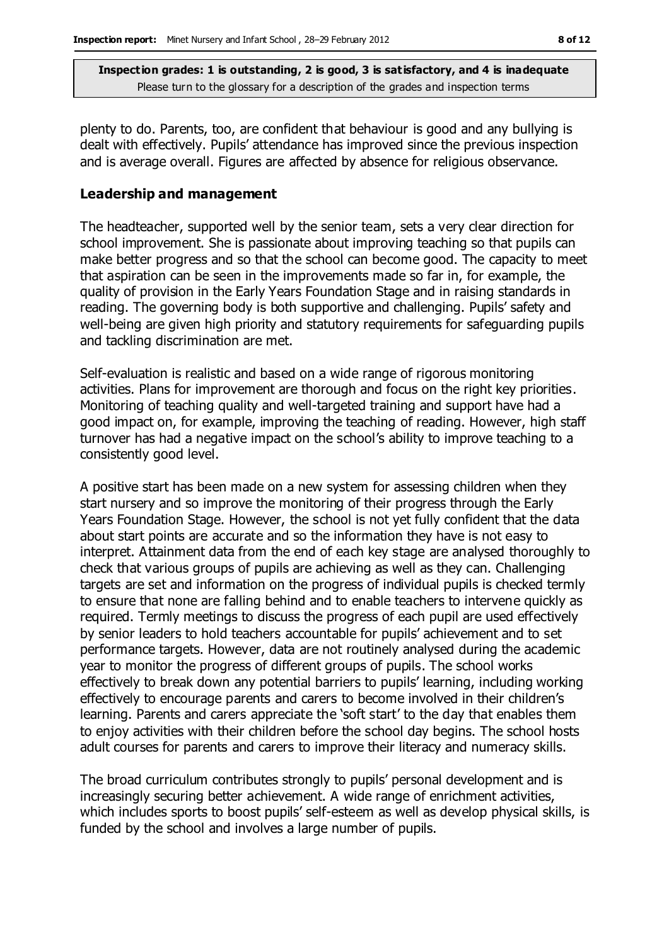plenty to do. Parents, too, are confident that behaviour is good and any bullying is dealt with effectively. Pupils' attendance has improved since the previous inspection and is average overall. Figures are affected by absence for religious observance.

#### **Leadership and management**

The headteacher, supported well by the senior team, sets a very clear direction for school improvement. She is passionate about improving teaching so that pupils can make better progress and so that the school can become good. The capacity to meet that aspiration can be seen in the improvements made so far in, for example, the quality of provision in the Early Years Foundation Stage and in raising standards in reading. The governing body is both supportive and challenging. Pupils' safety and well-being are given high priority and statutory requirements for safeguarding pupils and tackling discrimination are met.

Self-evaluation is realistic and based on a wide range of rigorous monitoring activities. Plans for improvement are thorough and focus on the right key priorities. Monitoring of teaching quality and well-targeted training and support have had a good impact on, for example, improving the teaching of reading. However, high staff turnover has had a negative impact on the school's ability to improve teaching to a consistently good level.

A positive start has been made on a new system for assessing children when they start nursery and so improve the monitoring of their progress through the Early Years Foundation Stage. However, the school is not yet fully confident that the data about start points are accurate and so the information they have is not easy to interpret. Attainment data from the end of each key stage are analysed thoroughly to check that various groups of pupils are achieving as well as they can. Challenging targets are set and information on the progress of individual pupils is checked termly to ensure that none are falling behind and to enable teachers to intervene quickly as required. Termly meetings to discuss the progress of each pupil are used effectively by senior leaders to hold teachers accountable for pupils' achievement and to set performance targets. However, data are not routinely analysed during the academic year to monitor the progress of different groups of pupils. The school works effectively to break down any potential barriers to pupils' learning, including working effectively to encourage parents and carers to become involved in their children's learning. Parents and carers appreciate the 'soft start' to the day that enables them to enjoy activities with their children before the school day begins. The school hosts adult courses for parents and carers to improve their literacy and numeracy skills.

The broad curriculum contributes strongly to pupils' personal development and is increasingly securing better achievement. A wide range of enrichment activities, which includes sports to boost pupils' self-esteem as well as develop physical skills, is funded by the school and involves a large number of pupils.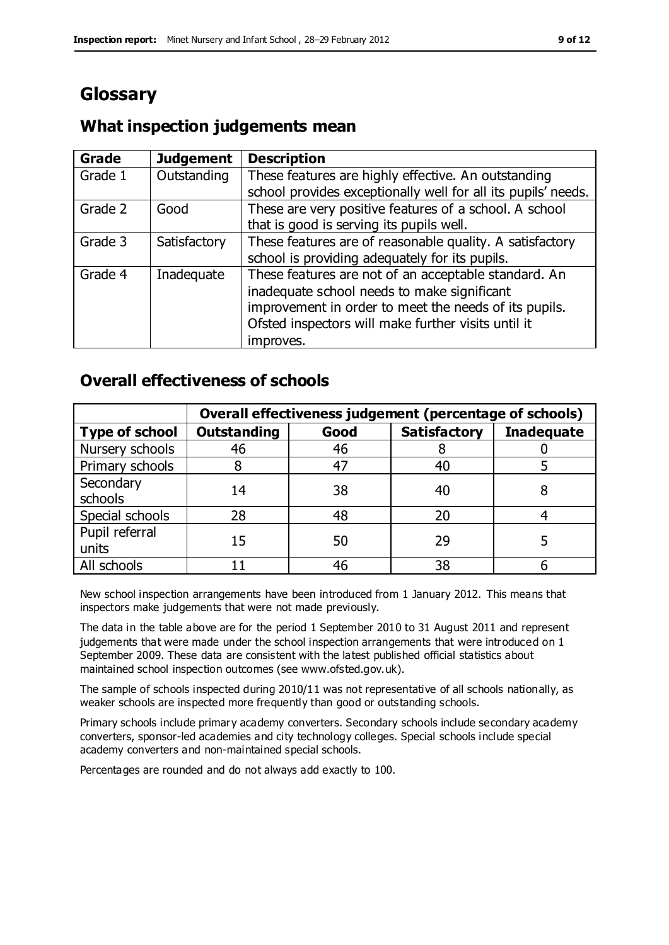# **Glossary**

### **What inspection judgements mean**

| Grade   | <b>Judgement</b> | <b>Description</b>                                            |
|---------|------------------|---------------------------------------------------------------|
| Grade 1 | Outstanding      | These features are highly effective. An outstanding           |
|         |                  | school provides exceptionally well for all its pupils' needs. |
| Grade 2 | Good             | These are very positive features of a school. A school        |
|         |                  | that is good is serving its pupils well.                      |
| Grade 3 | Satisfactory     | These features are of reasonable quality. A satisfactory      |
|         |                  | school is providing adequately for its pupils.                |
| Grade 4 | Inadequate       | These features are not of an acceptable standard. An          |
|         |                  | inadequate school needs to make significant                   |
|         |                  | improvement in order to meet the needs of its pupils.         |
|         |                  | Ofsted inspectors will make further visits until it           |
|         |                  | improves.                                                     |

#### **Overall effectiveness of schools**

|                         | Overall effectiveness judgement (percentage of schools) |      |                     |                   |
|-------------------------|---------------------------------------------------------|------|---------------------|-------------------|
| <b>Type of school</b>   | <b>Outstanding</b>                                      | Good | <b>Satisfactory</b> | <b>Inadequate</b> |
| Nursery schools         | 46                                                      | 46   |                     |                   |
| Primary schools         |                                                         | 47   | 40                  |                   |
| Secondary<br>schools    | 14                                                      | 38   | 40                  |                   |
| Special schools         | 28                                                      | 48   | 20                  |                   |
| Pupil referral<br>units | 15                                                      | 50   | 29                  |                   |
| All schools             |                                                         | 46   | 38                  |                   |

New school inspection arrangements have been introduced from 1 January 2012. This means that inspectors make judgements that were not made previously.

The data in the table above are for the period 1 September 2010 to 31 August 2011 and represent judgements that were made under the school inspection arrangements that were introduced on 1 September 2009. These data are consistent with the latest published official statistics about maintained school inspection outcomes (see www.ofsted.gov.uk).

The sample of schools inspected during 2010/11 was not representative of all schools nationally, as weaker schools are inspected more frequently than good or outstanding schools.

Primary schools include primary academy converters. Secondary schools include secondary academy converters, sponsor-led academies and city technology colleges. Special schools include special academy converters and non-maintained special schools.

Percentages are rounded and do not always add exactly to 100.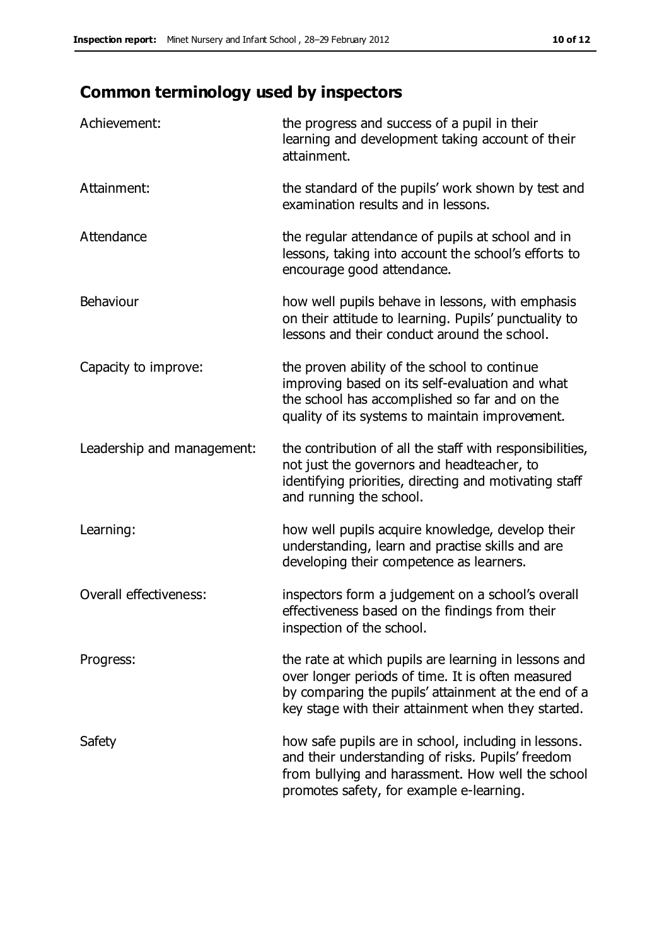# **Common terminology used by inspectors**

| Achievement:               | the progress and success of a pupil in their<br>learning and development taking account of their<br>attainment.                                                                                                        |
|----------------------------|------------------------------------------------------------------------------------------------------------------------------------------------------------------------------------------------------------------------|
| Attainment:                | the standard of the pupils' work shown by test and<br>examination results and in lessons.                                                                                                                              |
| Attendance                 | the regular attendance of pupils at school and in<br>lessons, taking into account the school's efforts to<br>encourage good attendance.                                                                                |
| Behaviour                  | how well pupils behave in lessons, with emphasis<br>on their attitude to learning. Pupils' punctuality to<br>lessons and their conduct around the school.                                                              |
| Capacity to improve:       | the proven ability of the school to continue<br>improving based on its self-evaluation and what<br>the school has accomplished so far and on the<br>quality of its systems to maintain improvement.                    |
| Leadership and management: | the contribution of all the staff with responsibilities,<br>not just the governors and headteacher, to<br>identifying priorities, directing and motivating staff<br>and running the school.                            |
| Learning:                  | how well pupils acquire knowledge, develop their<br>understanding, learn and practise skills and are<br>developing their competence as learners.                                                                       |
| Overall effectiveness:     | inspectors form a judgement on a school's overall<br>effectiveness based on the findings from their<br>inspection of the school.                                                                                       |
| Progress:                  | the rate at which pupils are learning in lessons and<br>over longer periods of time. It is often measured<br>by comparing the pupils' attainment at the end of a<br>key stage with their attainment when they started. |
| Safety                     | how safe pupils are in school, including in lessons.<br>and their understanding of risks. Pupils' freedom<br>from bullying and harassment. How well the school<br>promotes safety, for example e-learning.             |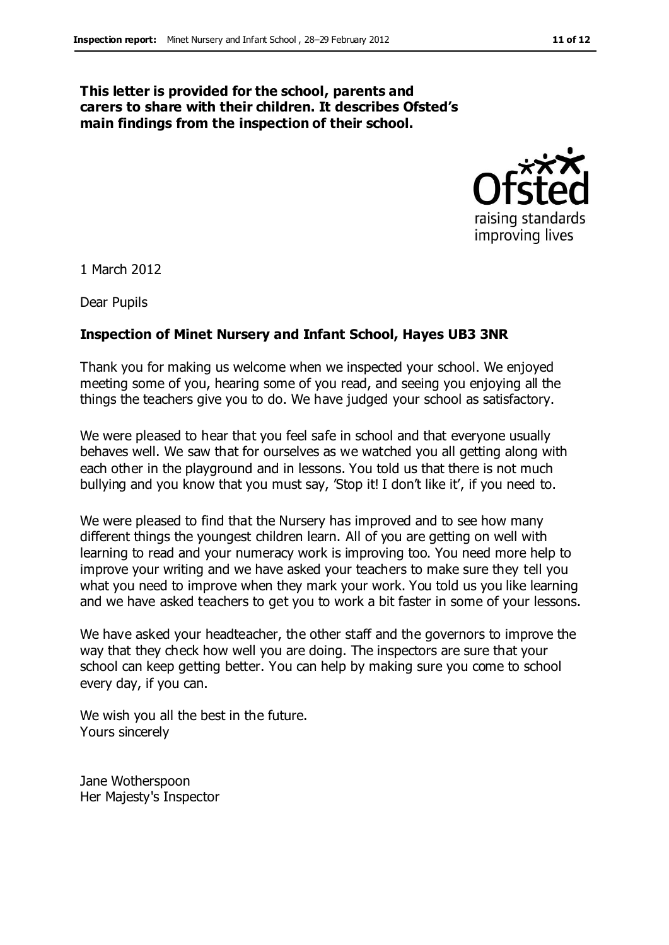#### **This letter is provided for the school, parents and carers to share with their children. It describes Ofsted's main findings from the inspection of their school.**



1 March 2012

Dear Pupils

#### **Inspection of Minet Nursery and Infant School, Hayes UB3 3NR**

Thank you for making us welcome when we inspected your school. We enjoyed meeting some of you, hearing some of you read, and seeing you enjoying all the things the teachers give you to do. We have judged your school as satisfactory.

We were pleased to hear that you feel safe in school and that everyone usually behaves well. We saw that for ourselves as we watched you all getting along with each other in the playground and in lessons. You told us that there is not much bullying and you know that you must say, 'Stop it! I don't like it', if you need to.

We were pleased to find that the Nursery has improved and to see how many different things the youngest children learn. All of you are getting on well with learning to read and your numeracy work is improving too. You need more help to improve your writing and we have asked your teachers to make sure they tell you what you need to improve when they mark your work. You told us you like learning and we have asked teachers to get you to work a bit faster in some of your lessons.

We have asked your headteacher, the other staff and the governors to improve the way that they check how well you are doing. The inspectors are sure that your school can keep getting better. You can help by making sure you come to school every day, if you can.

We wish you all the best in the future. Yours sincerely

Jane Wotherspoon Her Majesty's Inspector